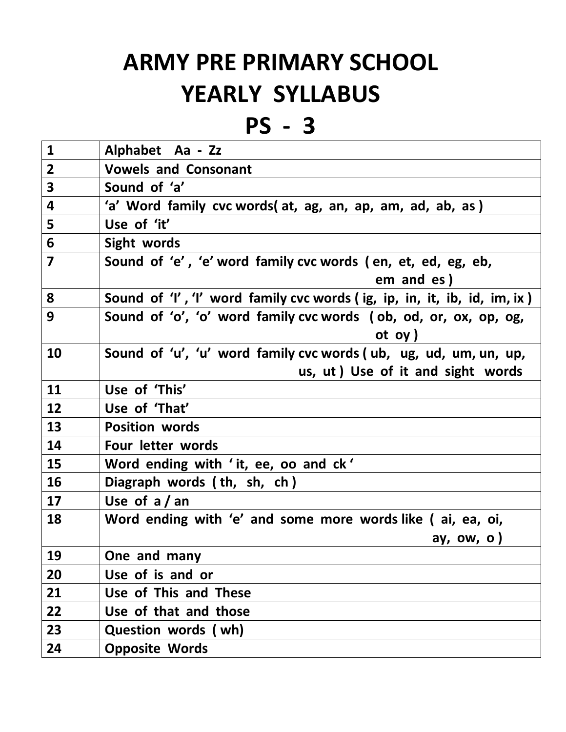## **ARMY PRE PRIMARY SCHOOL YEARLY SYLLABUS**

**PS - 3**

| $\mathbf{1}$            | Alphabet Aa - Zz                                                             |
|-------------------------|------------------------------------------------------------------------------|
| $\overline{2}$          | <b>Vowels and Consonant</b>                                                  |
| $\overline{\mathbf{3}}$ | Sound of 'a'                                                                 |
| 4                       | 'a' Word family cvc words(at, ag, an, ap, am, ad, ab, as)                    |
| 5                       | Use of 'it'                                                                  |
| 6                       | Sight words                                                                  |
| $\overline{7}$          | Sound of 'e', 'e' word family cvc words (en, et, ed, eg, eb,                 |
|                         | em and es)                                                                   |
| 8                       | Sound of 'I', 'I' word family cvc words (ig, ip, in, it, ib, id, im, ix)     |
| 9                       | Sound of 'o', 'o' word family cvc words (ob, od, or, ox, op, og,<br>ot $oy)$ |
| 10                      | Sound of 'u', 'u' word family cvc words (ub, ug, ud, um, un, up,             |
|                         | us, ut) Use of it and sight words                                            |
| 11                      | Use of 'This'                                                                |
| 12                      | Use of 'That'                                                                |
| 13                      | <b>Position words</b>                                                        |
| 14                      | Four letter words                                                            |
| 15                      | Word ending with 'it, ee, oo and ck'                                         |
| 16                      | Diagraph words (th, sh, ch)                                                  |
| 17                      | Use of $a / an$                                                              |
| 18                      | Word ending with 'e' and some more words like (ai, ea, oi,                   |
|                         | ay, ow, o)                                                                   |
| 19                      | One and many                                                                 |
| 20                      | Use of is and or                                                             |
| 21                      | Use of This and These                                                        |
| 22                      | Use of that and those                                                        |
| 23                      | Question words (wh)                                                          |
| 24                      | <b>Opposite Words</b>                                                        |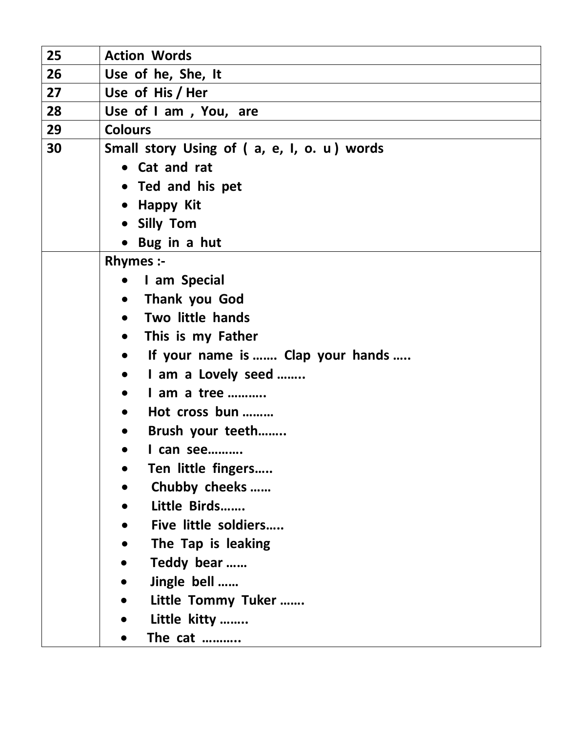| 25 | <b>Action Words</b>                           |
|----|-----------------------------------------------|
| 26 | Use of he, She, It                            |
| 27 | Use of His / Her                              |
| 28 | Use of I am, You, are                         |
| 29 | <b>Colours</b>                                |
| 30 | Small story Using of (a, e, I, o. u) words    |
|    | • Cat and rat                                 |
|    | • Ted and his pet                             |
|    | • Happy Kit                                   |
|    | • Silly Tom                                   |
|    | Bug in a hut                                  |
|    | <b>Rhymes:-</b>                               |
|    | I am Special<br>$\bullet$                     |
|    | Thank you God<br>$\bullet$                    |
|    | Two little hands<br>$\bullet$                 |
|    | This is my Father<br>$\bullet$                |
|    | If your name is  Clap your hands<br>$\bullet$ |
|    | I am a Lovely seed<br>$\bullet$               |
|    | I am a tree<br>$\bullet$                      |
|    | Hot cross bun<br>$\bullet$                    |
|    | Brush your teeth<br>$\bullet$                 |
|    | I can see                                     |
|    | Ten little fingers                            |
|    | Chubby cheeks                                 |
|    | Little Birds<br>$\bullet$                     |
|    | Five little soldiers                          |
|    | The Tap is leaking                            |
|    | Teddy bear                                    |
|    | Jingle bell                                   |
|    | Little Tommy Tuker                            |
|    | Little kitty                                  |
|    | The cat                                       |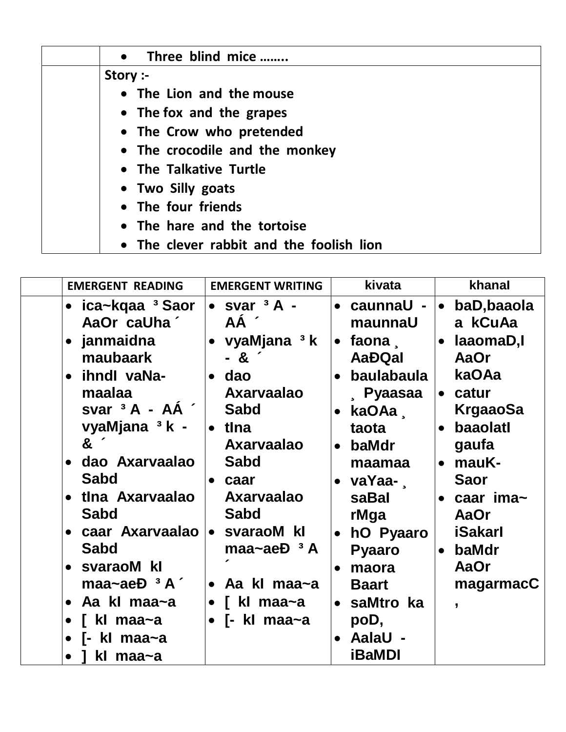| Three blind mice<br>$\bullet$            |  |
|------------------------------------------|--|
| Story :-                                 |  |
| • The Lion and the mouse                 |  |
| • The fox and the grapes                 |  |
| • The Crow who pretended                 |  |
| • The crocodile and the monkey           |  |
| • The Talkative Turtle                   |  |
| • Two Silly goats                        |  |
| • The four friends                       |  |
| • The hare and the tortoise              |  |
| • The clever rabbit and the foolish lion |  |

| <b>EMERGENT READING</b>                                | <b>EMERGENT WRITING</b>            | kivata                             | khanal                              |
|--------------------------------------------------------|------------------------------------|------------------------------------|-------------------------------------|
| ica~kqaa <sup>3</sup> Saor<br>$\bullet$<br>AaOr caUha' | $\bullet$ svar $3A -$<br>AÁ 1      | • caunnaU -<br>maunnaU             | baD, baaola<br>$\bullet$<br>a kCuAa |
| janmaidna<br>$\bullet$<br>maubaark                     | • vyaMjana $3k$<br>$-8′$           | faona   .<br><b>AaĐQal</b>         | $\bullet$ laaomaD,l<br>AaOr         |
| ihndl vaNa-<br>$\bullet$<br>maalaa                     | $\bullet$ dao<br><b>Axarvaalao</b> | baulabaula<br><b>Pyaasaa</b>       | kaOAa<br>• catur                    |
| svar $3A - AA$<br>vyaMjana <sup>3</sup> k -            | Sabd<br>tlna                       | kaOAa,<br>taota                    | <b>KrgaaoSa</b><br>baaolatl         |
| 8 <sup>°</sup><br>dao Axarvaalao<br>$\bullet$          | <b>Axarvaalao</b><br><b>Sabd</b>   | baMdr<br>$\bullet$<br>maamaa       | gaufa<br>• mauK-                    |
| Sabd<br>tlna Axarvaalao<br>$\bullet$                   | caar<br><b>Axarvaalao</b>          | vaYaa- $\sqrt{ }$<br>saBal         | <b>Saor</b>                         |
| <b>Sabd</b>                                            | <b>Sabd</b>                        | rMga                               | $\bullet$ caar ima $\sim$<br>AaOr   |
| caar Axarvaalao  • svaraoM kl<br>$\bullet$<br>Sabd     | maa~ae $E^3$ A                     | hO Pyaaro<br><b>Pyaaro</b>         | <b>iSakarl</b><br>baMdr             |
| svaraoM kl<br>$\bullet$<br>maa~ae $D^3 A^T$            | • Aa kl maa~a                      | maora<br>$\bullet$<br><b>Baart</b> | AaOr<br>magarmacC                   |
| Aa kl maa~a<br>$\bullet$<br>kl maa~a                   | kl maa~a<br>$\bullet$ [- kl maa~a  | $\bullet$ saMtro ka<br>poD,        | $\overline{\phantom{a}}$            |
| kl maa~a<br>Г-<br>kl maa~a                             |                                    | <b>AalaU -</b><br>iBaMDI           |                                     |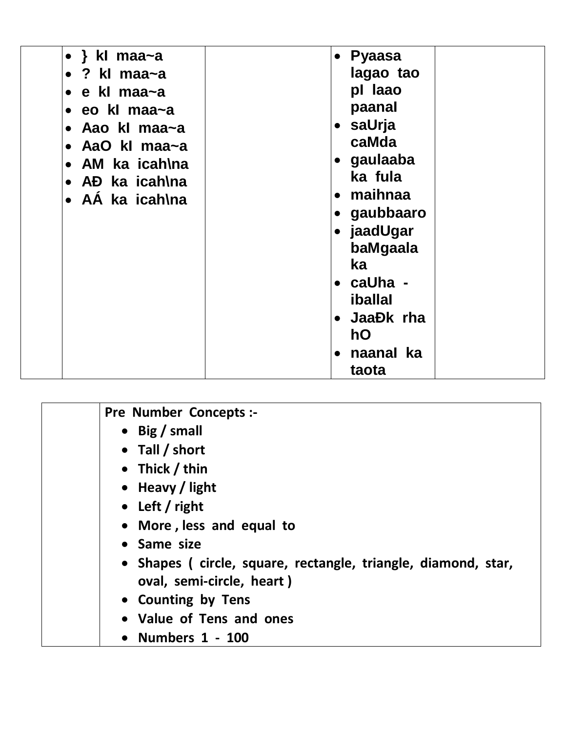| • } kl maa~a    | • Pyaasa               |
|-----------------|------------------------|
| ? kl maa~a      | lagao tao              |
| e kl maa~a      | pl laao                |
| eo kl maa~a     | paanal                 |
| Aao kl maa~a    | saUrja<br>$\bullet$    |
| AaO kl maa~a    | caMda                  |
| AM ka icah\na   | gaulaaba               |
| AĐ ka icah\na   | ka fula                |
| • AA ka icah\na | maihnaa                |
|                 | gaubbaaro              |
|                 | jaadUgar<br>$\bullet$  |
|                 | baMgaala               |
|                 | ka                     |
|                 | • caUha -              |
|                 | <b>iballal</b>         |
|                 | JaaĐk rha<br>$\bullet$ |
|                 | hO                     |
|                 |                        |
|                 | naanal ka              |
|                 | taota                  |

| <b>Pre Number Concepts:-</b>                                  |
|---------------------------------------------------------------|
| • Big / small                                                 |
| $\bullet$ Tall / short                                        |
| • Thick / thin                                                |
| • Heavy / light                                               |
| • Left / right                                                |
| • More, less and equal to                                     |
| • Same size                                                   |
| • Shapes (circle, square, rectangle, triangle, diamond, star, |
| oval, semi-circle, heart)                                     |
| • Counting by Tens                                            |
| • Value of Tens and ones                                      |
| • Numbers $1 - 100$                                           |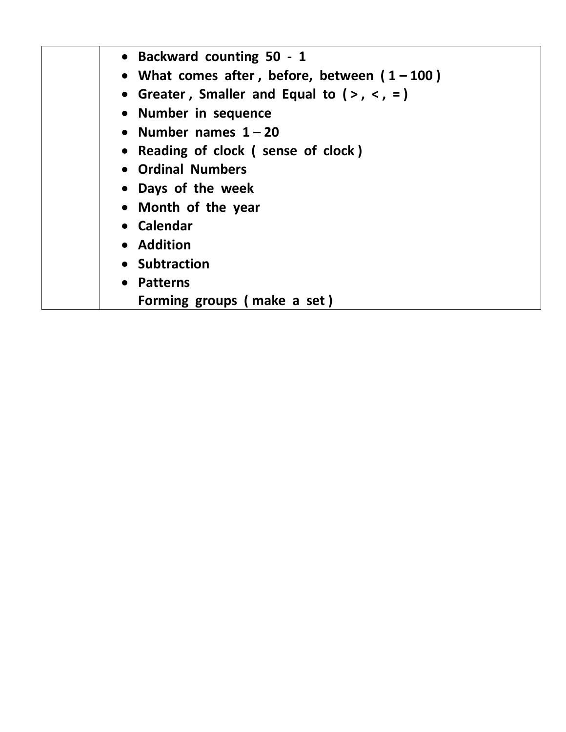| • Backward counting 50 - 1<br>• What comes after, before, between $(1-100)$<br>• Greater, Smaller and Equal to $(>,\lt,,=)$<br>• Number in sequence<br>• Number names $1 - 20$<br>• Reading of clock (sense of clock)<br>• Ordinal Numbers<br>• Days of the week |
|------------------------------------------------------------------------------------------------------------------------------------------------------------------------------------------------------------------------------------------------------------------|
| • Month of the year<br>• Calendar                                                                                                                                                                                                                                |
| • Addition<br>• Subtraction                                                                                                                                                                                                                                      |
| • Patterns                                                                                                                                                                                                                                                       |
| Forming groups (make a set)                                                                                                                                                                                                                                      |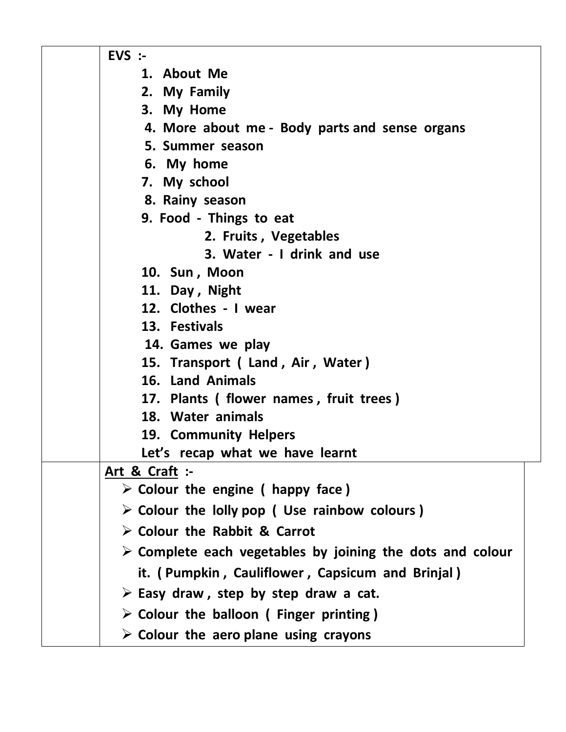| $EVS$ :-                                                                 |
|--------------------------------------------------------------------------|
| 1. About Me                                                              |
| 2. My Family                                                             |
| 3. My Home                                                               |
| 4. More about me - Body parts and sense organs                           |
| 5. Summer season                                                         |
| 6. My home                                                               |
| 7. My school                                                             |
| 8. Rainy season                                                          |
| 9. Food - Things to eat                                                  |
| 2. Fruits, Vegetables                                                    |
| 3. Water - I drink and use                                               |
| 10. Sun, Moon                                                            |
| 11. Day, Night                                                           |
| 12. Clothes - I wear                                                     |
| 13. Festivals                                                            |
| 14. Games we play                                                        |
| 15. Transport (Land, Air, Water)                                         |
| 16. Land Animals                                                         |
| 17. Plants (flower names, fruit trees)                                   |
| 18. Water animals                                                        |
| 19. Community Helpers                                                    |
| Let's recap what we have learnt                                          |
| Art & Craft $:$                                                          |
| $\triangleright$ Colour the engine ( happy face)                         |
| $\triangleright$ Colour the lolly pop ( Use rainbow colours)             |
| $\triangleright$ Colour the Rabbit & Carrot                              |
| $\triangleright$ Complete each vegetables by joining the dots and colour |
| it. (Pumpkin, Cauliflower, Capsicum and Brinjal)                         |
| $\triangleright$ Easy draw, step by step draw a cat.                     |
| $\triangleright$ Colour the balloon (Finger printing)                    |
| $\triangleright$ Colour the aero plane using crayons                     |